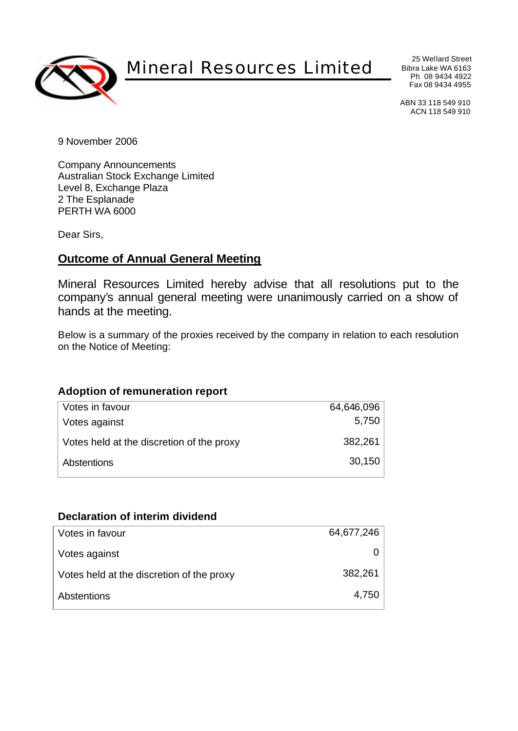

# Mineral Resources Limited

25 Wellard Street Bibra Lake WA 6163 Ph 08 9434 4922 Fax 08 9434 4955

ABN 33 118 549 910 ACN 118 549 910

9 November 2006

Company Announcements Australian Stock Exchange Limited Level 8, Exchange Plaza 2 The Esplanade PERTH WA 6000

Dear Sirs,

## **Outcome of Annual General Meeting**

Mineral Resources Limited hereby advise that all resolutions put to the company's annual general meeting were unanimously carried on a show of hands at the meeting.

Below is a summary of the proxies received by the company in relation to each resolution on the Notice of Meeting:

#### **Adoption of remuneration report**

| Votes in favour                           | 64,646,096 |
|-------------------------------------------|------------|
| Votes against                             | 5,750      |
| Votes held at the discretion of the proxy | 382,261    |
| Abstentions                               | 30,150     |

#### **Declaration of interim dividend**

| Votes in favour                           | 64,677,246 |
|-------------------------------------------|------------|
| Votes against                             |            |
| Votes held at the discretion of the proxy | 382,261    |
| Abstentions                               | 4,750      |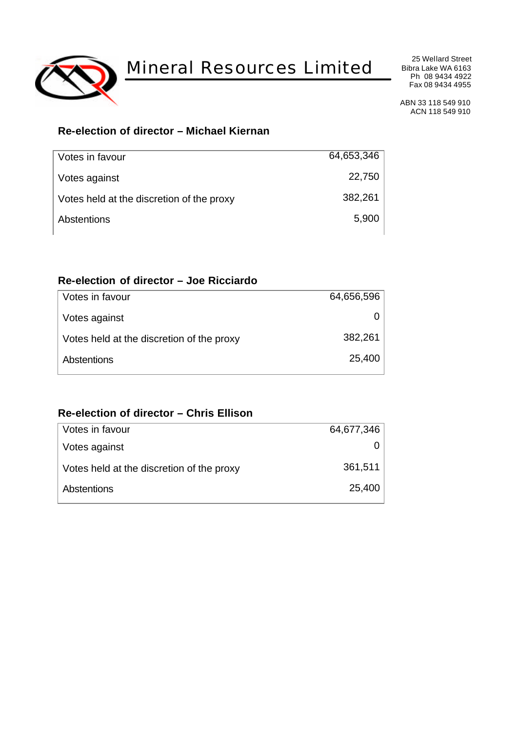

Mineral Resources Limited

25 Wellard Street Bibra Lake WA 6163 Ph 08 9434 4922 Fax 08 9434 4955

ABN 33 118 549 910 ACN 118 549 910

## **Re-election of director – Michael Kiernan**

| Votes in favour                           | 64,653,346 |
|-------------------------------------------|------------|
| Votes against                             | 22,750     |
| Votes held at the discretion of the proxy | 382,261    |
| Abstentions                               | 5,900      |
|                                           |            |

#### **Re-election of director – Joe Ricciardo**

| Votes in favour                           | 64,656,596 |
|-------------------------------------------|------------|
| Votes against                             |            |
| Votes held at the discretion of the proxy | 382,261    |
| Abstentions                               | 25,400     |
|                                           |            |

#### **Re-election of director – Chris Ellison**

| Votes in favour                           | 64,677,346 |
|-------------------------------------------|------------|
| Votes against                             |            |
| Votes held at the discretion of the proxy | 361,511    |
| Abstentions                               | 25,400     |